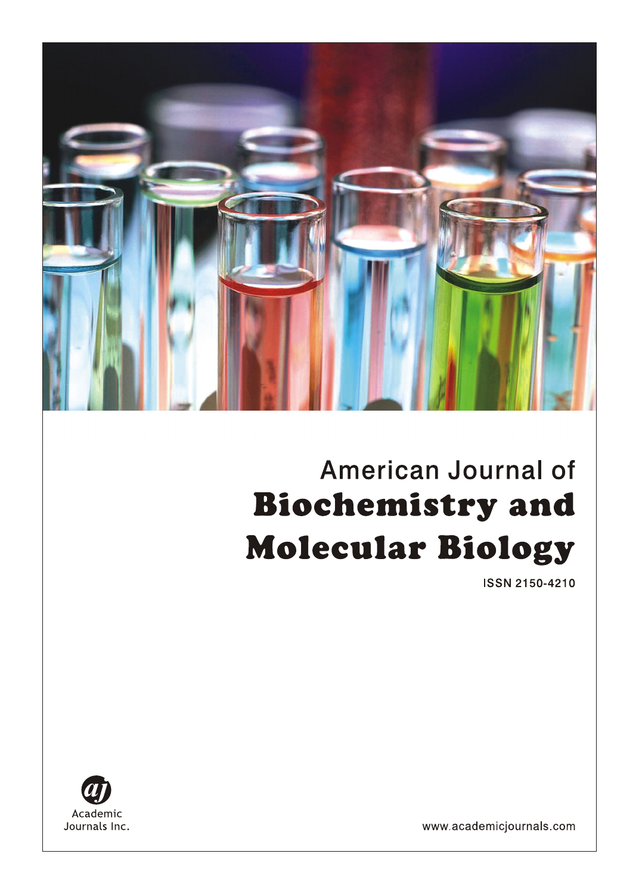# American Journal of **Biochemistry and Molecular Biology**

**ISSN 2150-4210** 



www.academicjournals.com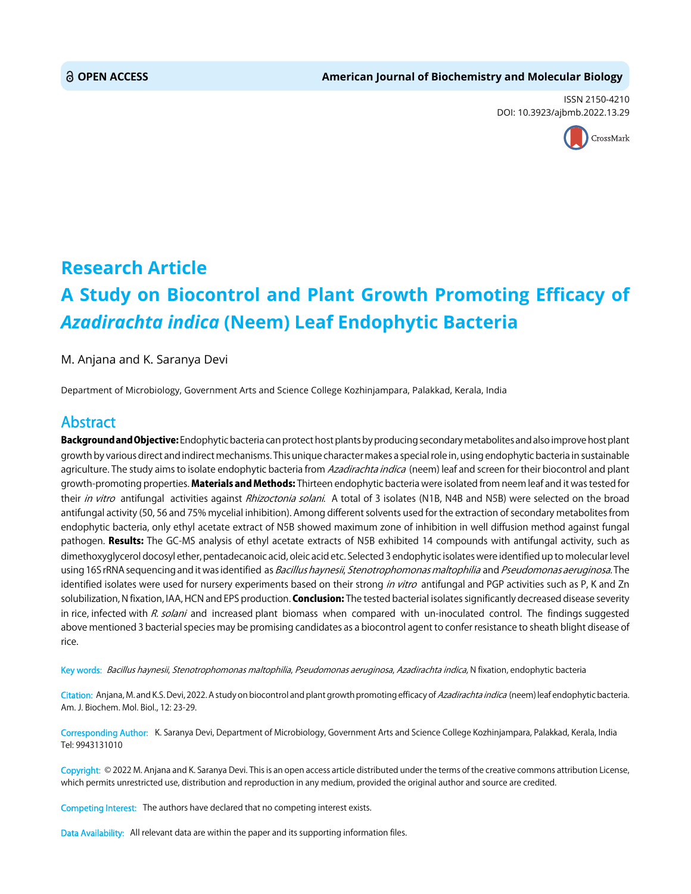ISSN 2150-4210 DOI: 10.3923/ajbmb.2022.13.29



# **Research Article A Study on Biocontrol and Plant Growth Promoting Efficacy of** *Azadirachta indica* **(Neem) Leaf Endophytic Bacteria**

M. Anjana and K. Saranya Devi

Department of Microbiology, Government Arts and Science College Kozhinjampara, Palakkad, Kerala, India

## Abstract

Background and Objective: Endophytic bacteria can protect host plants by producing secondary metabolites and also improve host plant growth by various direct and indirect mechanisms. This unique character makes a special role in, using endophytic bacteria in sustainable agriculture. The study aims to isolate endophytic bacteria from Azadirachta indica (neem) leaf and screen for their biocontrol and plant growth-promoting properties. Materials and Methods: Thirteen endophytic bacteria were isolated from neem leaf and it was tested for their in vitro antifungal activities against Rhizoctonia solani. A total of 3 isolates (N1B, N4B and N5B) were selected on the broad antifungal activity (50, 56 and 75% mycelial inhibition). Among different solvents used for the extraction of secondary metabolites from endophytic bacteria, only ethyl acetate extract of N5B showed maximum zone of inhibition in well diffusion method against fungal pathogen. Results: The GC-MS analysis of ethyl acetate extracts of N5B exhibited 14 compounds with antifungal activity, such as dimethoxyglycerol docosyl ether, pentadecanoic acid, oleic acid etc. Selected 3 endophytic isolates were identified up to molecular level using 16S rRNA sequencing and it was identified as Bacillus haynesii, Stenotrophomonas maltophilia and Pseudomonas aeruginosa. The identified isolates were used for nursery experiments based on their strong in vitro antifungal and PGP activities such as P, K and Zn solubilization, N fixation, IAA, HCN and EPS production. Conclusion: The tested bacterial isolates significantly decreased disease severity in rice, infected with R. solani and increased plant biomass when compared with un-inoculated control. The findings suggested above mentioned 3 bacterial species may be promising candidates as a biocontrol agent to confer resistance to sheath blight disease of rice.

Key words: Bacillus haynesii, Stenotrophomonas maltophilia, Pseudomonas aeruginosa, Azadirachta indica, N fixation, endophytic bacteria

Citation: Anjana, M. and K.S. Devi, 2022. A study on biocontrol and plant growth promoting efficacy of Azadirachta indica (neem) leaf endophytic bacteria. Am. J. Biochem. Mol. Biol., 12: 23-29.

Corresponding Author: K. Saranya Devi, Department of Microbiology, Government Arts and Science College Kozhinjampara, Palakkad, Kerala, India Tel: 9943131010

Copyright: © 2022 M. Anjana and K. Saranya Devi. This is an open access article distributed under the terms of the creative commons attribution License, which permits unrestricted use, distribution and reproduction in any medium, provided the original author and source are credited.

Competing Interest: The authors have declared that no competing interest exists.

Data Availability: All relevant data are within the paper and its supporting information files.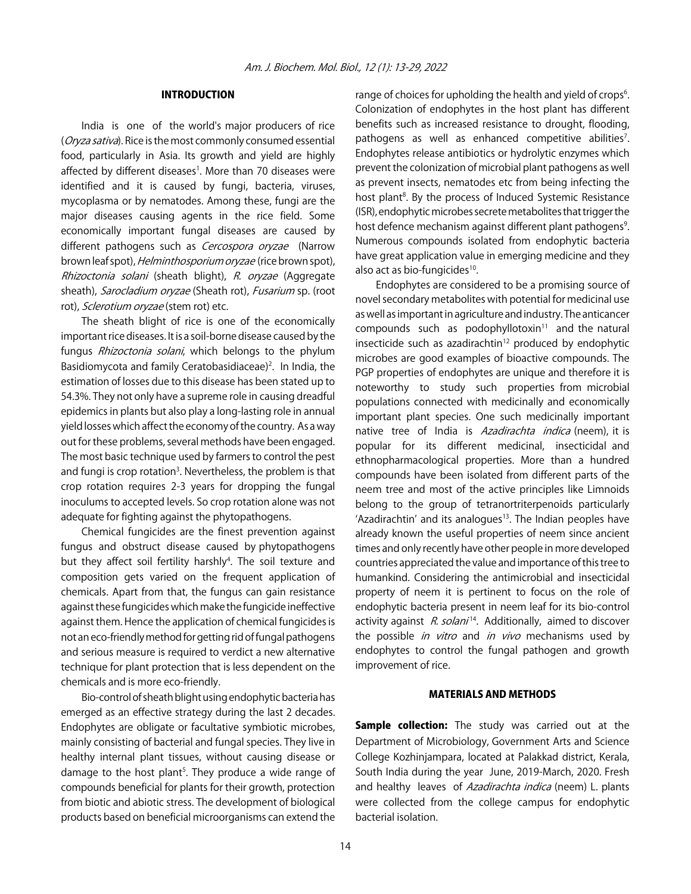#### INTRODUCTION

India is one of the world's major producers of rice (Oryza sativa). Rice is the most commonly consumed essential food, particularly in Asia. Its growth and yield are highly affected by different diseases<sup>1</sup>. More than 70 diseases were identified and it is caused by fungi, bacteria, viruses, mycoplasma or by nematodes. Among these, fungi are the major diseases causing agents in the rice field. Some economically important fungal diseases are caused by different pathogens such as Cercospora oryzae (Narrow brown leaf spot), Helminthosporium oryzae (rice brown spot), Rhizoctonia solani (sheath blight), R. oryzae (Aggregate sheath), Sarocladium oryzae (Sheath rot), Fusarium sp. (root rot), Sclerotium oryzae (stem rot) etc.

The sheath blight of rice is one of the economically important rice diseases. It is a soil-borne disease caused by the fungus *Rhizoctonia solani*, which belongs to the phylum Basidiomycota and family Ceratobasidiaceae)<sup>2</sup>. In India, the estimation of losses due to this disease has been stated up to 54.3%. They not only have a supreme role in causing dreadful epidemics in plants but also play a long-lasting role in annual yield losses which affect the economy of the country. As a way out for these problems, several methods have been engaged. The most basic technique used by farmers to control the pest and fungi is crop rotation<sup>3</sup>. Nevertheless, the problem is that crop rotation requires 2-3 years for dropping the fungal inoculums to accepted levels. So crop rotation alone was not adequate for fighting against the phytopathogens.

Chemical fungicides are the finest prevention against fungus and obstruct disease caused by phytopathogens but they affect soil fertility harshly<sup>4</sup>. The soil texture and composition gets varied on the frequent application of chemicals. Apart from that, the fungus can gain resistance against these fungicides which make the fungicide ineffective against them. Hence the application of chemical fungicides is not an eco-friendly method for getting rid of fungal pathogens and serious measure is required to verdict a new alternative technique for plant protection that is less dependent on the chemicals and is more eco-friendly.

Bio-control of sheath blight using endophytic bacteria has emerged as an effective strategy during the last 2 decades. Endophytes are obligate or facultative symbiotic microbes, mainly consisting of bacterial and fungal species. They live in healthy internal plant tissues, without causing disease or damage to the host plant<sup>5</sup>. They produce a wide range of compounds beneficial for plants for their growth, protection from biotic and abiotic stress. The development of biological products based on beneficial microorganisms can extend the

range of choices for upholding the health and yield of crops<sup>6</sup>. Colonization of endophytes in the host plant has different benefits such as increased resistance to drought, flooding, pathogens as well as enhanced competitive abilities<sup>7</sup>. Endophytes release antibiotics or hydrolytic enzymes which prevent the colonization of microbial plant pathogens as well as prevent insects, nematodes etc from being infecting the host plant<sup>8</sup>. By the process of Induced Systemic Resistance (ISR), endophytic microbes secrete metabolites that trigger the host defence mechanism against different plant pathogens<sup>9</sup>. Numerous compounds isolated from endophytic bacteria have great application value in emerging medicine and they also act as bio-fungicides<sup>10</sup>.

Endophytes are considered to be a promising source of novel secondary metabolites with potential for medicinal use as well as important in agriculture and industry. The anticancer compounds such as podophyllotoxin $11$  and the natural insecticide such as azadirachtin $12$  produced by endophytic microbes are good examples of bioactive compounds. The PGP properties of endophytes are unique and therefore it is noteworthy to study such properties from microbial populations connected with medicinally and economically important plant species. One such medicinally important native tree of India is *Azadirachta indica* (neem), it is popular for its different medicinal, insecticidal and ethnopharmacological properties. More than a hundred compounds have been isolated from different parts of the neem tree and most of the active principles like Limnoids belong to the group of tetranortriterpenoids particularly 'Azadirachtin' and its analogues $13$ . The Indian peoples have already known the useful properties of neem since ancient times and only recently have other people in more developed countries appreciated the value and importance of this tree to humankind. Considering the antimicrobial and insecticidal property of neem it is pertinent to focus on the role of endophytic bacteria present in neem leaf for its bio-control activity against  $R.$  solani<sup>14</sup>. Additionally, aimed to discover the possible *in vitro* and *in vivo* mechanisms used by endophytes to control the fungal pathogen and growth improvement of rice.

#### MATERIALS AND METHODS

Sample collection: The study was carried out at the Department of Microbiology, Government Arts and Science College Kozhinjampara, located at Palakkad district, Kerala, South India during the year June, 2019-March, 2020. Fresh and healthy leaves of Azadirachta indica (neem) L. plants were collected from the college campus for endophytic bacterial isolation.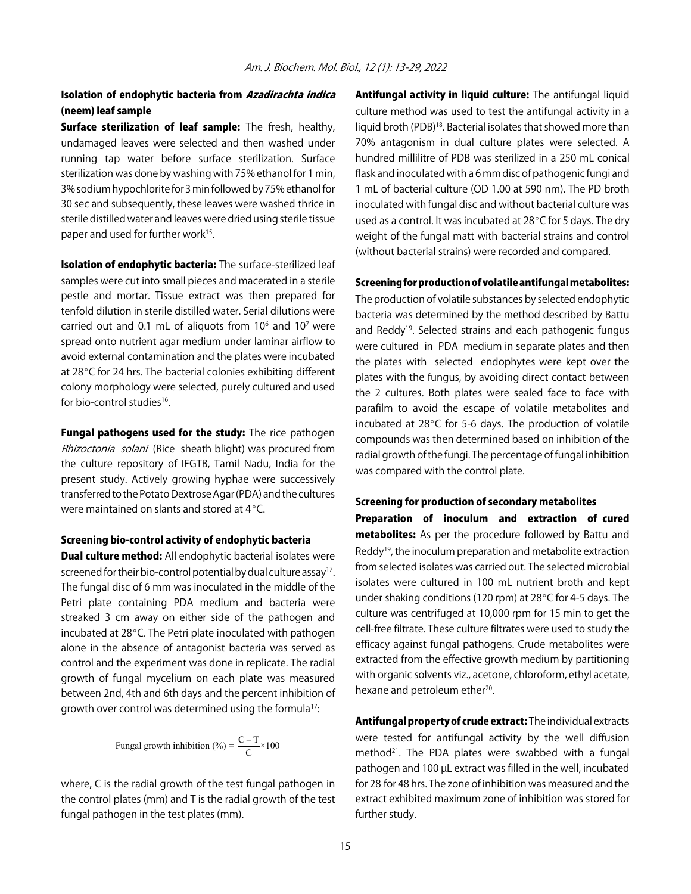### Isolation of endophytic bacteria from Azadirachta indica (neem) leaf sample

**Surface sterilization of leaf sample:** The fresh, healthy, undamaged leaves were selected and then washed under running tap water before surface sterilization. Surface sterilization was done by washing with 75% ethanol for 1 min, 3% sodium hypochlorite for 3 min followed by 75% ethanol for 30 sec and subsequently, these leaves were washed thrice in sterile distilled water and leaves were dried using sterile tissue paper and used for further work<sup>15</sup>.

Isolation of endophytic bacteria: The surface-sterilized leaf samples were cut into small pieces and macerated in a sterile pestle and mortar. Tissue extract was then prepared for tenfold dilution in sterile distilled water. Serial dilutions were carried out and 0.1 mL of aliquots from  $10<sup>6</sup>$  and  $10<sup>7</sup>$  were spread onto nutrient agar medium under laminar airflow to avoid external contamination and the plates were incubated at  $28^{\circ}$ C for 24 hrs. The bacterial colonies exhibiting different colony morphology were selected, purely cultured and used for bio-control studies<sup>16</sup>.

Fungal pathogens used for the study: The rice pathogen Rhizoctonia solani (Rice sheath blight) was procured from the culture repository of IFGTB, Tamil Nadu, India for the present study. Actively growing hyphae were successively transferred to the Potato Dextrose Agar (PDA) and the cultures were maintained on slants and stored at  $4^{\circ}$ C.

#### Screening bio-control activity of endophytic bacteria

**Dual culture method:** All endophytic bacterial isolates were screened for their bio-control potential by dual culture assay<sup>17</sup>. The fungal disc of 6 mm was inoculated in the middle of the Petri plate containing PDA medium and bacteria were streaked 3 cm away on either side of the pathogen and incubated at 28°C. The Petri plate inoculated with pathogen alone in the absence of antagonist bacteria was served as control and the experiment was done in replicate. The radial growth of fungal mycelium on each plate was measured between 2nd, 4th and 6th days and the percent inhibition of growth over control was determined using the formula<sup>17</sup>:

Fungal growth inhibition (%) = 
$$
\frac{C - T}{C} \times 100
$$

where, C is the radial growth of the test fungal pathogen in the control plates (mm) and T is the radial growth of the test fungal pathogen in the test plates (mm).

Antifungal activity in liquid culture: The antifungal liquid culture method was used to test the antifungal activity in a liquid broth (PDB)18. Bacterial isolates that showed more than 70% antagonism in dual culture plates were selected. A hundred millilitre of PDB was sterilized in a 250 mL conical flask and inoculated with a 6 mm disc of pathogenic fungi and 1 mL of bacterial culture (OD 1.00 at 590 nm). The PD broth inoculated with fungal disc and without bacterial culture was used as a control. It was incubated at  $28^{\circ}$ C for 5 days. The dry weight of the fungal matt with bacterial strains and control (without bacterial strains) were recorded and compared.

#### Screening for production of volatile antifungal metabolites:

The production of volatile substances by selected endophytic bacteria was determined by the method described by Battu and Reddy<sup>19</sup>. Selected strains and each pathogenic fungus were cultured in PDA medium in separate plates and then the plates with selected endophytes were kept over the plates with the fungus, by avoiding direct contact between the 2 cultures. Both plates were sealed face to face with parafilm to avoid the escape of volatile metabolites and incubated at  $28^{\circ}$ C for 5-6 days. The production of volatile compounds was then determined based on inhibition of the radial growth of the fungi. The percentage of fungal inhibition was compared with the control plate.

#### Screening for production of secondary metabolites

Preparation of inoculum and extraction of cured metabolites: As per the procedure followed by Battu and Reddy19, the inoculum preparation and metabolite extraction from selected isolates was carried out. The selected microbial isolates were cultured in 100 mL nutrient broth and kept under shaking conditions (120 rpm) at  $28^{\circ}$ C for 4-5 days. The culture was centrifuged at 10,000 rpm for 15 min to get the cell-free filtrate. These culture filtrates were used to study the efficacy against fungal pathogens. Crude metabolites were extracted from the effective growth medium by partitioning with organic solvents viz., acetone, chloroform, ethyl acetate, hexane and petroleum ether<sup>20</sup>.

Antifungal property of crude extract: The individual extracts were tested for antifungal activity by the well diffusion method $21$ . The PDA plates were swabbed with a fungal pathogen and 100 µL extract was filled in the well, incubated for 28 for 48 hrs. The zone of inhibition was measured and the extract exhibited maximum zone of inhibition was stored for further study.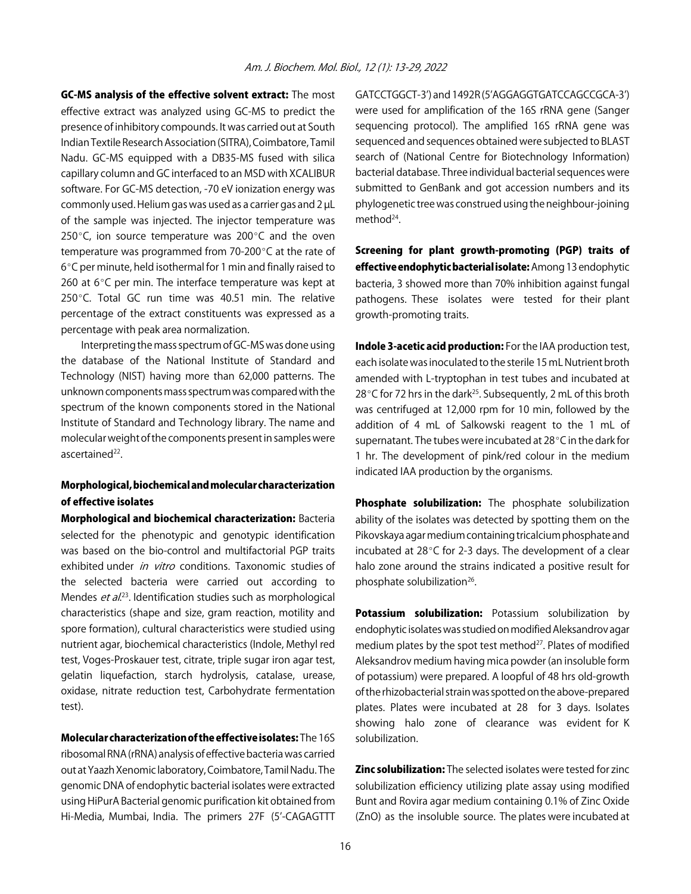GC-MS analysis of the effective solvent extract: The most effective extract was analyzed using GC-MS to predict the presence of inhibitory compounds. It was carried out at South Indian Textile Research Association (SITRA), Coimbatore, Tamil Nadu. GC-MS equipped with a DB35-MS fused with silica capillary column and GC interfaced to an MSD with XCALIBUR software. For GC-MS detection, -70 eV ionization energy was commonly used. Helium gas was used as a carrier gas and 2 µL of the sample was injected. The injector temperature was 250 $^{\circ}$ C, ion source temperature was 200 $^{\circ}$ C and the oven temperature was programmed from 70-200 $\degree$ C at the rate of 6°C per minute, held isothermal for 1 min and finally raised to 260 at  $6^{\circ}$ C per min. The interface temperature was kept at 250 $^{\circ}$ C. Total GC run time was 40.51 min. The relative percentage of the extract constituents was expressed as a percentage with peak area normalization.

Interpreting the mass spectrum of GC-MS was done using the database of the National Institute of Standard and Technology (NIST) having more than 62,000 patterns. The unknown components mass spectrum was compared with the spectrum of the known components stored in the National Institute of Standard and Technology library. The name and molecular weight of the components present in samples were ascertained<sup>22</sup>.

#### Morphological, biochemical and molecular characterization of effective isolates

Morphological and biochemical characterization: Bacteria selected for the phenotypic and genotypic identification was based on the bio-control and multifactorial PGP traits exhibited under in vitro conditions. Taxonomic studies of the selected bacteria were carried out according to Mendes et al.<sup>23</sup>. Identification studies such as morphological characteristics (shape and size, gram reaction, motility and spore formation), cultural characteristics were studied using nutrient agar, biochemical characteristics (Indole, Methyl red test, Voges-Proskauer test, citrate, triple sugar iron agar test, gelatin liquefaction, starch hydrolysis, catalase, urease, oxidase, nitrate reduction test, Carbohydrate fermentation test).

Molecular characterization of the effective isolates: The 16S ribosomal RNA (rRNA) analysis of effective bacteria was carried out at Yaazh Xenomic laboratory, Coimbatore, Tamil Nadu. The genomic DNA of endophytic bacterial isolates were extracted using HiPurA Bacterial genomic purification kit obtained from Hi-Media, Mumbai, India. The primers 27F (5'-CAGAGTTT

GATCCTGGCT-3') and 1492R (5'AGGAGGTGATCCAGCCGCA-3') were used for amplification of the 16S rRNA gene (Sanger sequencing protocol). The amplified 16S rRNA gene was sequenced and sequences obtained were subjected to BLAST search of (National Centre for Biotechnology Information) bacterial database. Three individual bacterial sequences were submitted to GenBank and got accession numbers and its phylogenetic tree was construed using the neighbour-joining method<sup>24</sup>.

Screening for plant growth-promoting (PGP) traits of effective endophytic bacterial isolate: Among 13 endophytic bacteria, 3 showed more than 70% inhibition against fungal pathogens. These isolates were tested for their plant growth-promoting traits.

Indole 3-acetic acid production: For the IAA production test, each isolate was inoculated to the sterile 15 mL Nutrient broth amended with L-tryptophan in test tubes and incubated at  $28^{\circ}$ C for 72 hrs in the dark<sup>25</sup>. Subsequently, 2 mL of this broth was centrifuged at 12,000 rpm for 10 min, followed by the addition of 4 mL of Salkowski reagent to the 1 mL of supernatant. The tubes were incubated at  $28^{\circ}$ C in the dark for 1 hr. The development of pink/red colour in the medium indicated IAA production by the organisms.

Phosphate solubilization: The phosphate solubilization ability of the isolates was detected by spotting them on the Pikovskaya agar medium containing tricalcium phosphate and incubated at  $28^{\circ}$ C for 2-3 days. The development of a clear halo zone around the strains indicated a positive result for phosphate solubilization<sup>26</sup>.

Potassium solubilization: Potassium solubilization by endophytic isolates was studied on modified Aleksandrov agar medium plates by the spot test method<sup>27</sup>. Plates of modified Aleksandrov medium having mica powder (an insoluble form of potassium) were prepared. A loopful of 48 hrs old-growth of the rhizobacterial strain was spotted on the above-prepared plates. Plates were incubated at 28 for 3 days. Isolates showing halo zone of clearance was evident for K solubilization.

**Zinc solubilization:** The selected isolates were tested for zinc solubilization efficiency utilizing plate assay using modified Bunt and Rovira agar medium containing 0.1% of Zinc Oxide (ZnO) as the insoluble source. The plates were incubated at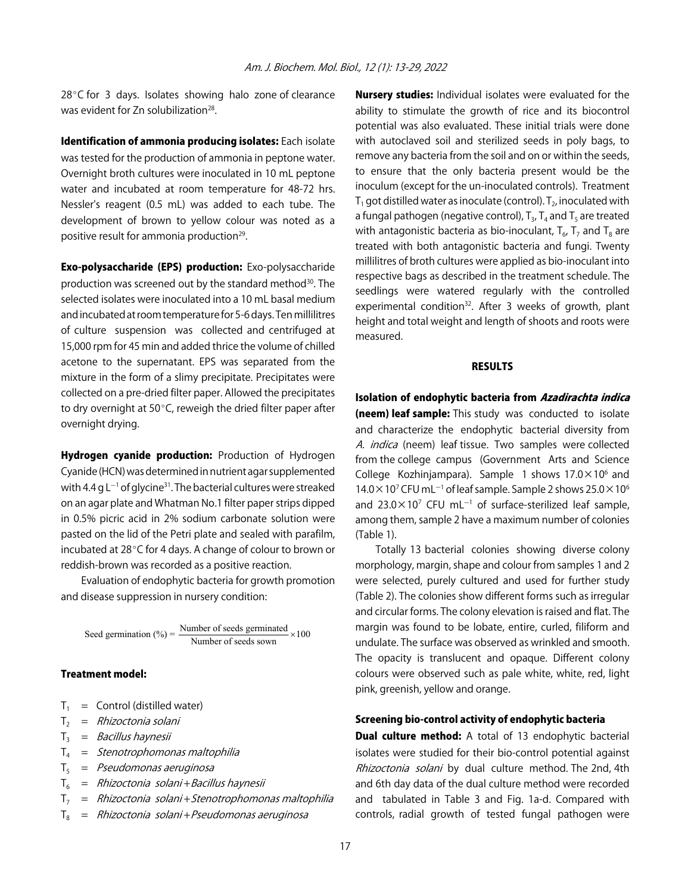$28^{\circ}$ C for 3 days. Isolates showing halo zone of clearance was evident for Zn solubilization<sup>28</sup>.

Identification of ammonia producing isolates: Each isolate was tested for the production of ammonia in peptone water. Overnight broth cultures were inoculated in 10 mL peptone water and incubated at room temperature for 48-72 hrs. Nessler's reagent (0.5 mL) was added to each tube. The development of brown to yellow colour was noted as a positive result for ammonia production<sup>29</sup>.

Exo-polysaccharide (EPS) production: Exo-polysaccharide production was screened out by the standard method<sup>30</sup>. The selected isolates were inoculated into a 10 mL basal medium and incubated at room temperature for 5-6 days. Ten millilitres of culture suspension was collected and centrifuged at 15,000 rpm for 45 min and added thrice the volume of chilled acetone to the supernatant. EPS was separated from the mixture in the form of a slimy precipitate. Precipitates were collected on a pre-dried filter paper. Allowed the precipitates to dry overnight at 50 $\degree$ C, reweigh the dried filter paper after overnight drying.

Hydrogen cyanide production: Production of Hydrogen Cyanide (HCN) was determined in nutrient agar supplemented with 4.4 g L<sup>-1</sup> of glycine<sup>31</sup>. The bacterial cultures were streaked on an agar plate and Whatman No.1 filter paper strips dipped in 0.5% picric acid in 2% sodium carbonate solution were pasted on the lid of the Petri plate and sealed with parafilm, incubated at  $28^{\circ}$ C for 4 days. A change of colour to brown or reddish-brown was recorded as a positive reaction.

Evaluation of endophytic bacteria for growth promotion and disease suppression in nursery condition:

Seed germination (%) =  $\frac{\text{Number of seeds germinated}}{\text{Number of seeds sown}} \times 100$ 

#### Treatment model:

- $T_1$  = Control (distilled water)
- $T_2$  = Rhizoctonia solani
- $T_3$  = *Bacillus haynesii*
- $T_4$  = Stenotrophomonas maltophilia
- $T<sub>5</sub>$  = *Pseudomonas aeruginosa*
- $T_6$  = Rhizoctonia solani + Bacillus haynesii
- $T_7$  = Rhizoctonia solani + Stenotrophomonas maltophilia
- $T_8$  = Rhizoctonia solani + Pseudomonas aeruginosa

**Nursery studies:** Individual isolates were evaluated for the ability to stimulate the growth of rice and its biocontrol potential was also evaluated. These initial trials were done with autoclaved soil and sterilized seeds in poly bags, to remove any bacteria from the soil and on or within the seeds, to ensure that the only bacteria present would be the inoculum (except for the un-inoculated controls). Treatment  $T_1$  got distilled water as inoculate (control).  $T_2$ , inoculated with a fungal pathogen (negative control),  $T_{3}$ ,  $T_{4}$  and  $T_{5}$  are treated with antagonistic bacteria as bio-inoculant,  $T_{6}$ ,  $T_{7}$  and  $T_{8}$  are treated with both antagonistic bacteria and fungi. Twenty millilitres of broth cultures were applied as bio-inoculant into respective bags as described in the treatment schedule. The seedlings were watered regularly with the controlled experimental condition<sup>32</sup>. After 3 weeks of growth, plant height and total weight and length of shoots and roots were measured.

#### RESULTS

Isolation of endophytic bacteria from Azadirachta indica **(neem) leaf sample:** This study was conducted to isolate and characterize the endophytic bacterial diversity from A. indica (neem) leaf tissue. Two samples were collected from the college campus (Government Arts and Science College Kozhinjampara). Sample 1 shows  $17.0 \times 10^6$  and  $14.0 \times 10^7$  CFU mL<sup>-1</sup> of leaf sample. Sample 2 shows 25.0  $\times$  10<sup>6</sup> and 23.0 $\times$ 10<sup>7</sup> CFU mL<sup>-1</sup> of surface-sterilized leaf sample, among them, sample 2 have a maximum number of colonies (Table 1).

Totally 13 bacterial colonies showing diverse colony morphology, margin, shape and colour from samples 1 and 2 were selected, purely cultured and used for further study (Table 2). The colonies show different forms such as irregular and circular forms. The colony elevation is raised and flat. The margin was found to be lobate, entire, curled, filiform and undulate. The surface was observed as wrinkled and smooth. The opacity is translucent and opaque. Different colony colours were observed such as pale white, white, red, light pink, greenish, yellow and orange.

#### Screening bio-control activity of endophytic bacteria

**Dual culture method:** A total of 13 endophytic bacterial isolates were studied for their bio-control potential against Rhizoctonia solani by dual culture method. The 2nd, 4th and 6th day data of the dual culture method were recorded and tabulated in Table 3 and Fig. 1a-d. Compared with controls, radial growth of tested fungal pathogen were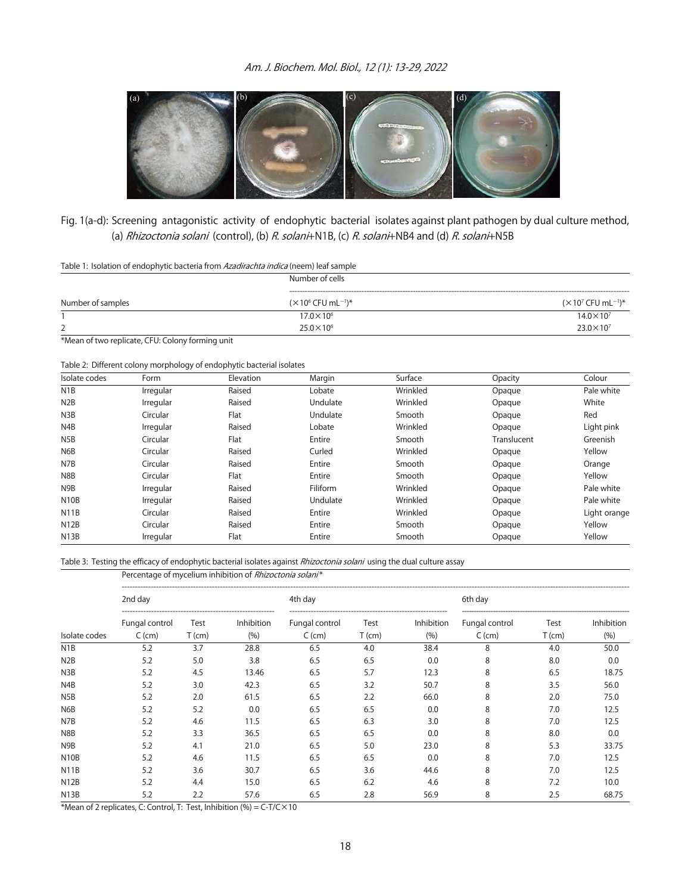

Fig. 1(a-d): Screening antagonistic activity of endophytic bacterial isolates against plant pathogen by dual culture method, (a) Rhizoctonia solani (control), (b) R. solani+N1B, (c) R. solani+NB4 and (d) R. solani+N5B

Table 1: Isolation of endophytic bacteria from Azadirachta indica (neem) leaf sample

|                   | Number of cells                             |                                        |  |  |
|-------------------|---------------------------------------------|----------------------------------------|--|--|
| Number of samples | $(X106$ CFU mL <sup>-1</sup> ) <sup>*</sup> | $(\times 10^7$ CFU mL <sup>-1</sup> )* |  |  |
|                   | $17.0 \times 10^{6}$                        | $14.0 \times 10^{7}$                   |  |  |
|                   | $25.0 \times 10^{6}$                        | $23.0 \times 10^{7}$                   |  |  |
| $\sim$            |                                             |                                        |  |  |

\*Mean of two replicate, CFU: Colony forming unit

Table 2: Different colony morphology of endophytic bacterial isolates

| Isolate codes     | Form      | Elevation | Margin   | Surface  | Opacity     | Colour       |
|-------------------|-----------|-----------|----------|----------|-------------|--------------|
| N <sub>1</sub> B  | Irregular | Raised    | Lobate   | Wrinkled | Opaque      | Pale white   |
| N <sub>2</sub> B  | Irregular | Raised    | Undulate | Wrinkled | Opaque      | White        |
| N3B               | Circular  | Flat      | Undulate | Smooth   | Opaque      | Red          |
| N4B               | Irregular | Raised    | Lobate   | Wrinkled | Opaque      | Light pink   |
| N5B               | Circular  | Flat      | Entire   | Smooth   | Translucent | Greenish     |
| N <sub>6</sub> B  | Circular  | Raised    | Curled   | Wrinkled | Opaque      | Yellow       |
| N7B               | Circular  | Raised    | Entire   | Smooth   | Opaque      | Orange       |
| N8B               | Circular  | Flat      | Entire   | Smooth   | Opaque      | Yellow       |
| N9B               | Irregular | Raised    | Filiform | Wrinkled | Opaque      | Pale white   |
| N <sub>10</sub> B | Irregular | Raised    | Undulate | Wrinkled | Opaque      | Pale white   |
| <b>N11B</b>       | Circular  | Raised    | Entire   | Wrinkled | Opaque      | Light orange |
| <b>N12B</b>       | Circular  | Raised    | Entire   | Smooth   | Opaque      | Yellow       |
| N <sub>13</sub> B | Irregular | Flat      | Entire   | Smooth   | Opaque      | Yellow       |

Table 3: Testing the efficacy of endophytic bacterial isolates against Rhizoctonia solani using the dual culture assay

Percentage of mycelium inhibition of Rhizoctonia solani\*

| 2nd day           |                |          | 4th day           |                |          | 6th day    |                |          |            |
|-------------------|----------------|----------|-------------------|----------------|----------|------------|----------------|----------|------------|
|                   | Fungal control | Test     | <b>Inhibition</b> | Fungal control | Test     | Inhibition | Fungal control | Test     | Inhibition |
| Isolate codes     | $C$ (cm)       | $T$ (cm) | (%)               | $C$ (cm)       | $T$ (cm) | (9/6)      | $C$ (cm)       | $T$ (cm) | (%)        |
| N <sub>1</sub> B  | 5.2            | 3.7      | 28.8              | 6.5            | 4.0      | 38.4       | 8              | 4.0      | 50.0       |
| N <sub>2</sub> B  | 5.2            | 5.0      | 3.8               | 6.5            | 6.5      | 0.0        | 8              | 8.0      | 0.0        |
| N3B               | 5.2            | 4.5      | 13.46             | 6.5            | 5.7      | 12.3       | 8              | 6.5      | 18.75      |
| N <sub>4</sub> B  | 5.2            | 3.0      | 42.3              | 6.5            | 3.2      | 50.7       | 8              | 3.5      | 56.0       |
| N <sub>5</sub> B  | 5.2            | 2.0      | 61.5              | 6.5            | 2.2      | 66.0       | 8              | 2.0      | 75.0       |
| N <sub>6</sub> B  | 5.2            | 5.2      | 0.0               | 6.5            | 6.5      | 0.0        | 8              | 7.0      | 12.5       |
| N7B               | 5.2            | 4.6      | 11.5              | 6.5            | 6.3      | 3.0        | 8              | 7.0      | 12.5       |
| N8B               | 5.2            | 3.3      | 36.5              | 6.5            | 6.5      | 0.0        | 8              | 8.0      | 0.0        |
| N9B               | 5.2            | 4.1      | 21.0              | 6.5            | 5.0      | 23.0       | 8              | 5.3      | 33.75      |
| N <sub>10</sub> B | 5.2            | 4.6      | 11.5              | 6.5            | 6.5      | 0.0        | 8              | 7.0      | 12.5       |
| N <sub>1</sub> 1B | 5.2            | 3.6      | 30.7              | 6.5            | 3.6      | 44.6       | 8              | 7.0      | 12.5       |
| N <sub>12</sub> B | 5.2            | 4.4      | 15.0              | 6.5            | 6.2      | 4.6        | 8              | 7.2      | 10.0       |
| N13B              | 5.2            | 2.2      | 57.6              | 6.5            | 2.8      | 56.9       | 8              | 2.5      | 68.75      |

\*Mean of 2 replicates, C: Control, T: Test, Inhibition  $(\%) = C-T/C \times 10$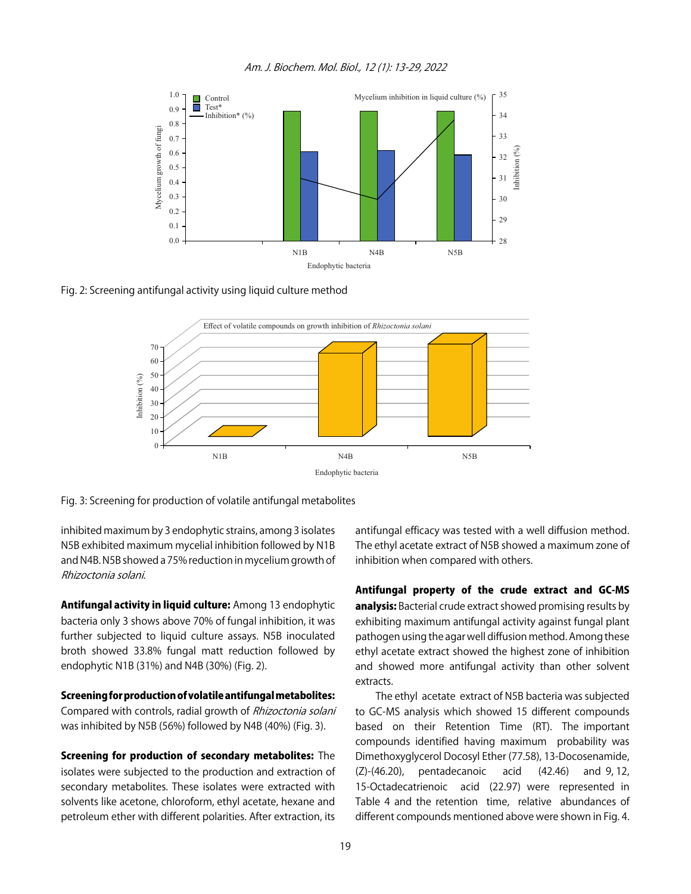



Fig. 2: Screening antifungal activity using liquid culture method



Fig. 3: Screening for production of volatile antifungal metabolites

inhibited maximum by 3 endophytic strains, among 3 isolates N5B exhibited maximum mycelial inhibition followed by N1B and N4B. N5B showed a 75% reduction in mycelium growth of Rhizoctonia solani.

Antifungal activity in liquid culture: Among 13 endophytic bacteria only 3 shows above 70% of fungal inhibition, it was further subjected to liquid culture assays. N5B inoculated broth showed 33.8% fungal matt reduction followed by endophytic N1B (31%) and N4B (30%) (Fig. 2).

Screening for production of volatile antifungal metabolites: Compared with controls, radial growth of Rhizoctonia solani was inhibited by N5B (56%) followed by N4B (40%) (Fig. 3).

Screening for production of secondary metabolites: The isolates were subjected to the production and extraction of secondary metabolites. These isolates were extracted with solvents like acetone, chloroform, ethyl acetate, hexane and petroleum ether with different polarities. After extraction, its antifungal efficacy was tested with a well diffusion method. The ethyl acetate extract of N5B showed a maximum zone of inhibition when compared with others.

Antifungal property of the crude extract and GC-MS analysis: Bacterial crude extract showed promising results by exhibiting maximum antifungal activity against fungal plant pathogen using the agar well diffusion method. Among these ethyl acetate extract showed the highest zone of inhibition and showed more antifungal activity than other solvent extracts.

The ethyl acetate extract of N5B bacteria was subjected to GC-MS analysis which showed 15 different compounds based on their Retention Time (RT). The important compounds identified having maximum probability was Dimethoxyglycerol Docosyl Ether (77.58), 13-Docosenamide, (Z)-(46.20), pentadecanoic acid (42.46) and 9, 12, 15-Octadecatrienoic acid (22.97) were represented in Table 4 and the retention time, relative abundances of different compounds mentioned above were shown in Fig. 4.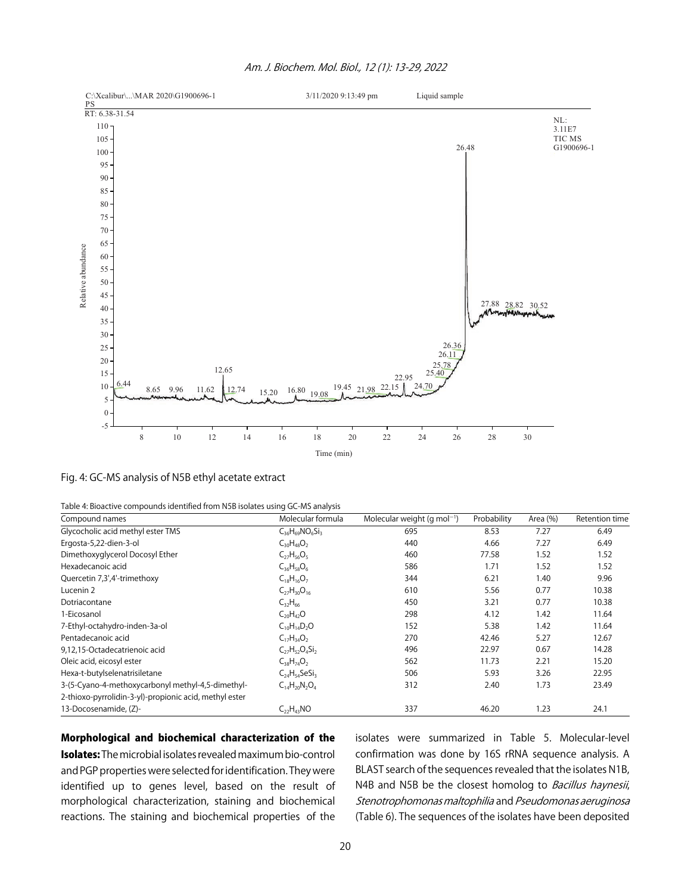

#### Am. J. Biochem. Mol. Biol., 12 (1): 13-29, 2022

Fig. 4: GC-MS analysis of N5B ethyl acetate extract

| Table 4: Bioactive compounds identified from N5B isolates using GC-MS analysis |  |  |
|--------------------------------------------------------------------------------|--|--|
|                                                                                |  |  |

| Compound names                                         | Molecular formula          | Molecular weight (g mol <sup>-1</sup> ) | Probability | Area (%) | Retention time |
|--------------------------------------------------------|----------------------------|-----------------------------------------|-------------|----------|----------------|
| Glycocholic acid methyl ester TMS                      | $C_{36}H_{69}NO_{6}Si_{3}$ | 695                                     | 8.53        | 7.27     | 6.49           |
| Ergosta-5,22-dien-3-ol                                 | $C_{30}H_{48}O_2$          | 440                                     | 4.66        | 7.27     | 6.49           |
| Dimethoxyglycerol Docosyl Ether                        | $C_{27}H_{56}O_5$          | 460                                     | 77.58       | 1.52     | 1.52           |
| Hexadecanoic acid                                      | $C_{36}H_{58}O_6$          | 586                                     | 1.71        | 1.52     | 1.52           |
| Quercetin 7,3',4'-trimethoxy                           | $C_{18}H_{16}O_7$          | 344                                     | 6.21        | 1.40     | 9.96           |
| Lucenin 2                                              | $C_{27}H_{30}O_{16}$       | 610                                     | 5.56        | 0.77     | 10.38          |
| Dotriacontane                                          | $C_{32}H_{66}$             | 450                                     | 3.21        | 0.77     | 10.38          |
| 1-Eicosanol                                            | $C_{20}H_{42}O$            | 298                                     | 4.12        | 1.42     | 11.64          |
| 7-Ethyl-octahydro-inden-3a-ol                          | $C_{10}H_{14}D_2O$         | 152                                     | 5.38        | 1.42     | 11.64          |
| Pentadecanoic acid                                     | $C_{17}H_{34}O_2$          | 270                                     | 42.46       | 5.27     | 12.67          |
| 9,12,15-Octadecatrienoic acid                          | $C_{27}H_{52}O_4Si_2$      | 496                                     | 22.97       | 0.67     | 14.28          |
| Oleic acid, eicosyl ester                              | $C_{38}H_{74}O_2$          | 562                                     | 11.73       | 2.21     | 15.20          |
| Hexa-t-butylselenatrisiletane                          | $C_{24}H_{54}SeSi_3$       | 506                                     | 5.93        | 3.26     | 22.95          |
| 3-(5-Cyano-4-methoxycarbonyl methyl-4,5-dimethyl-      | $C_{14}H_{20}N_2O_4$       | 312                                     | 2.40        | 1.73     | 23.49          |
| 2-thioxo-pyrrolidin-3-yl)-propionic acid, methyl ester |                            |                                         |             |          |                |
| 13-Docosenamide, (Z)-                                  | $C_{22}H_{43}NO$           | 337                                     | 46.20       | 1.23     | 24.1           |

#### Morphological and biochemical characterization of the

Isolates: The microbial isolates revealed maximum bio-control and PGP properties were selected for identification. They were identified up to genes level, based on the result of morphological characterization, staining and biochemical reactions. The staining and biochemical properties of the

isolates were summarized in Table 5. Molecular-level confirmation was done by 16S rRNA sequence analysis. A BLAST search of the sequences revealed that the isolates N1B, N4B and N5B be the closest homolog to Bacillus haynesii, Stenotrophomonas maltophilia and Pseudomonas aeruginosa (Table 6). The sequences of the isolates have been deposited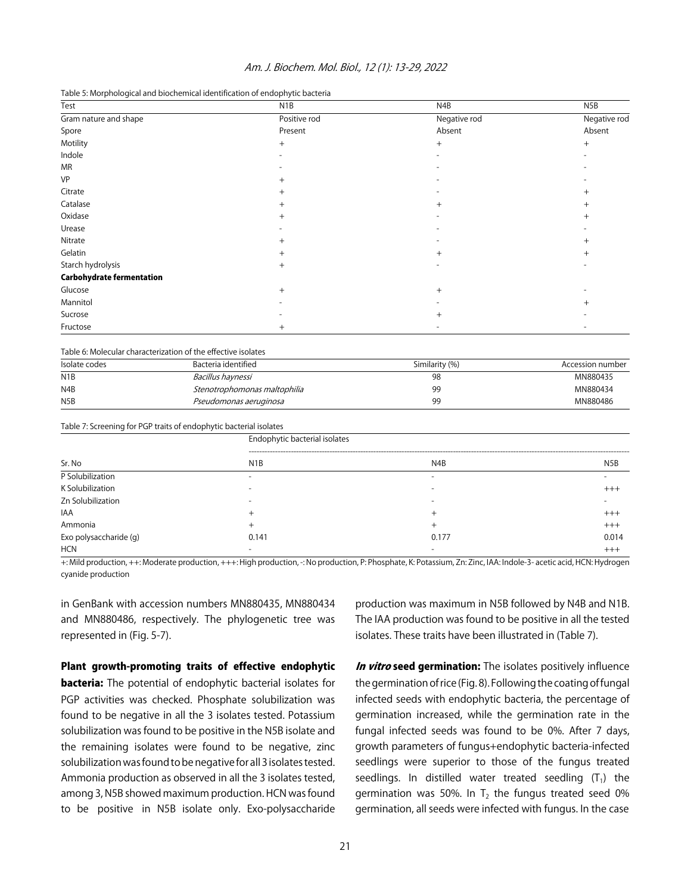| Am. J. Biochem. Mol. Biol., 12 (1): 13-29, 2022 |  |
|-------------------------------------------------|--|

| Table 5: Morphological and biochemical identification of endophytic bacteria |
|------------------------------------------------------------------------------|
|------------------------------------------------------------------------------|

| Test                             | N <sub>1</sub> B | N4B          | N5B          |
|----------------------------------|------------------|--------------|--------------|
| Gram nature and shape            | Positive rod     | Negative rod | Negative rod |
| Spore                            | Present          | Absent       | Absent       |
| Motility                         | $^{+}$           | $+$          | $^{+}$       |
| Indole                           |                  |              |              |
| <b>MR</b>                        |                  |              |              |
| VP                               | $^+$             |              |              |
| Citrate                          |                  |              | $^+$         |
| Catalase                         |                  | $^{+}$       | $\pm$        |
| Oxidase                          | $^+$             |              | $^+$         |
| Urease                           |                  |              |              |
| Nitrate                          | $^+$             |              | $^+$         |
| Gelatin                          |                  | $+$          |              |
| Starch hydrolysis                | $^{+}$           |              |              |
| <b>Carbohydrate fermentation</b> |                  |              |              |
| Glucose                          | $^{+}$           | $+$          |              |
| Mannitol                         |                  |              |              |
| Sucrose                          |                  | $^{+}$       |              |
| Fructose                         | $^{+}$           |              |              |

Table 6: Molecular characterization of the effective isolates

| Isolate codes    | Bacteria identified          | Similarity (%) | Accession number |
|------------------|------------------------------|----------------|------------------|
| N1B              | Bacillus haynessi            | 98             | MN880435         |
| N <sub>4</sub> B | Stenotrophomonas maltophilia | 99             | MN880434         |
| N <sub>5</sub> B | Pseudomonas aeruginosa       | gg             | MN880486         |

Table 7: Screening for PGP traits of endophytic bacterial isolates

| Sr. No                 | Endophytic bacterial isolates |                          |                  |  |
|------------------------|-------------------------------|--------------------------|------------------|--|
|                        | N <sub>1</sub> B              | N <sub>4</sub> B         | N <sub>5</sub> B |  |
| P Solubilization       | $\overline{\phantom{0}}$      |                          |                  |  |
| K Solubilization       | $\overline{\phantom{0}}$      | $\overline{\phantom{0}}$ | $^{+++}$         |  |
| Zn Solubilization      |                               |                          |                  |  |
| IAA                    |                               |                          | $+++$            |  |
| Ammonia                |                               |                          | $+++$            |  |
| Exo polysaccharide (g) | 0.141                         | 0.177                    | 0.014            |  |
| <b>HCN</b>             |                               |                          | $^{+++}$         |  |

+: Mild production, ++: Moderate production, +++: High production, -: No production, P: Phosphate, K: Potassium, Zn: Zinc, IAA: Indole-3- acetic acid, HCN: Hydrogen cyanide production

in GenBank with accession numbers MN880435, MN880434 and MN880486, respectively. The phylogenetic tree was represented in (Fig. 5-7).

Plant growth-promoting traits of effective endophytic **bacteria:** The potential of endophytic bacterial isolates for PGP activities was checked. Phosphate solubilization was found to be negative in all the 3 isolates tested. Potassium solubilization was found to be positive in the N5B isolate and the remaining isolates were found to be negative, zinc solubilization was found to be negative for all 3 isolates tested. Ammonia production as observed in all the 3 isolates tested, among 3, N5B showed maximum production. HCN was found to be positive in N5B isolate only. Exo-polysaccharide

production was maximum in N5B followed by N4B and N1B. The IAA production was found to be positive in all the tested isolates. These traits have been illustrated in (Table 7).

In vitro seed germination: The isolates positively influence the germination of rice (Fig. 8). Following the coating of fungal infected seeds with endophytic bacteria, the percentage of germination increased, while the germination rate in the fungal infected seeds was found to be 0%. After 7 days, growth parameters of fungus+endophytic bacteria-infected seedlings were superior to those of the fungus treated seedlings. In distilled water treated seedling  $(T_1)$  the germination was 50%. In  $T_2$  the fungus treated seed 0% germination, all seeds were infected with fungus. In the case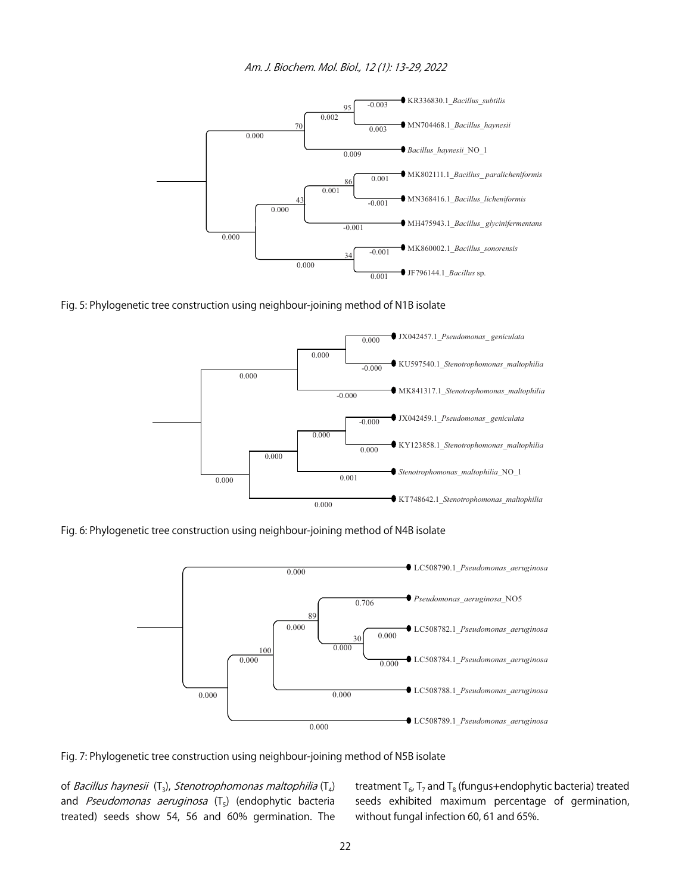



Fig. 5: Phylogenetic tree construction using neighbour-joining method of N1B isolate



Fig. 6: Phylogenetic tree construction using neighbour-joining method of N4B isolate



Fig. 7: Phylogenetic tree construction using neighbour-joining method of N5B isolate

of *Bacillus haynesii* (T<sub>3</sub>), *Stenotrophomonas maltophilia* (T<sub>4</sub>) and Pseudomonas aeruginosa  $(T_5)$  (endophytic bacteria treated) seeds show 54, 56 and 60% germination. The treatment  $T_6$ ,  $T_7$  and  $T_8$  (fungus+endophytic bacteria) treated seeds exhibited maximum percentage of germination, without fungal infection 60, 61 and 65%.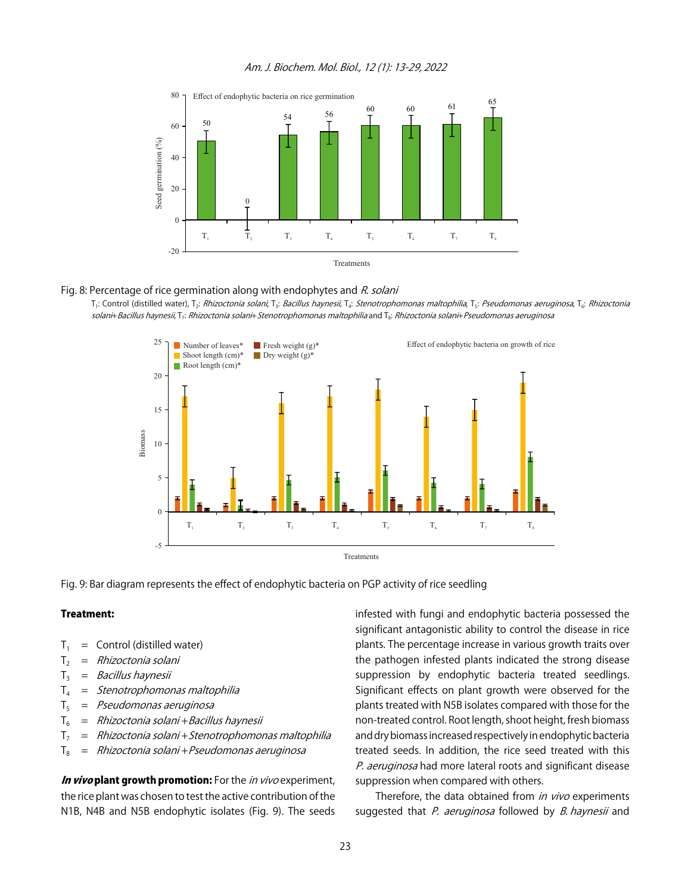

#### Am. J. Biochem. Mol. Biol., 12 (1): 13-29, 2022

#### Fig. 8: Percentage of rice germination along with endophytes and R. solani

T<sub>1</sub>: Control (distilled water), T<sub>2</sub>: Rhizoctonia solani, T<sub>3</sub>: Bacillus haynesii, T<sub>4</sub>: Stenotrophomonas maltophilia, T<sub>5</sub>: Pseudomonas aeruginosa, T<sub>6</sub>: Rhizoctonia solani+Bacillus haynesii, T<sub>7</sub>: Rhizoctonia solani+Stenotrophomonas maltophilia and T<sub>8</sub>: Rhizoctonia solani+Pseudomonas aeruginosa



Fig. 9: Bar diagram represents the effect of endophytic bacteria on PGP activity of rice seedling

#### Treatment:

- $T_1$  = Control (distilled water)
- $T_2$  = Rhizoctonia solani
- $T_3$  = *Bacillus haynesii*
- $T_4$  = Stenotrophomonas maltophilia
- $T<sub>5</sub>$  = Pseudomonas aeruginosa
- $T_6$  = Rhizoctonia solani + Bacillus haynesii
- $T_7$  = Rhizoctonia solani + Stenotrophomonas maltophilia
- $T_8$  = Rhizoctonia solani + Pseudomonas aeruginosa

**In vivo plant growth promotion:** For the *in vivo* experiment, the rice plant was chosen to test the active contribution of the N1B, N4B and N5B endophytic isolates (Fig. 9). The seeds infested with fungi and endophytic bacteria possessed the significant antagonistic ability to control the disease in rice plants. The percentage increase in various growth traits over the pathogen infested plants indicated the strong disease suppression by endophytic bacteria treated seedlings. Significant effects on plant growth were observed for the plants treated with N5B isolates compared with those for the non-treated control. Root length, shoot height, fresh biomass and dry biomass increased respectively in endophytic bacteria treated seeds. In addition, the rice seed treated with this P. aeruginosa had more lateral roots and significant disease suppression when compared with others.

Therefore, the data obtained from in vivo experiments suggested that *P. aeruginosa* followed by *B. haynesii* and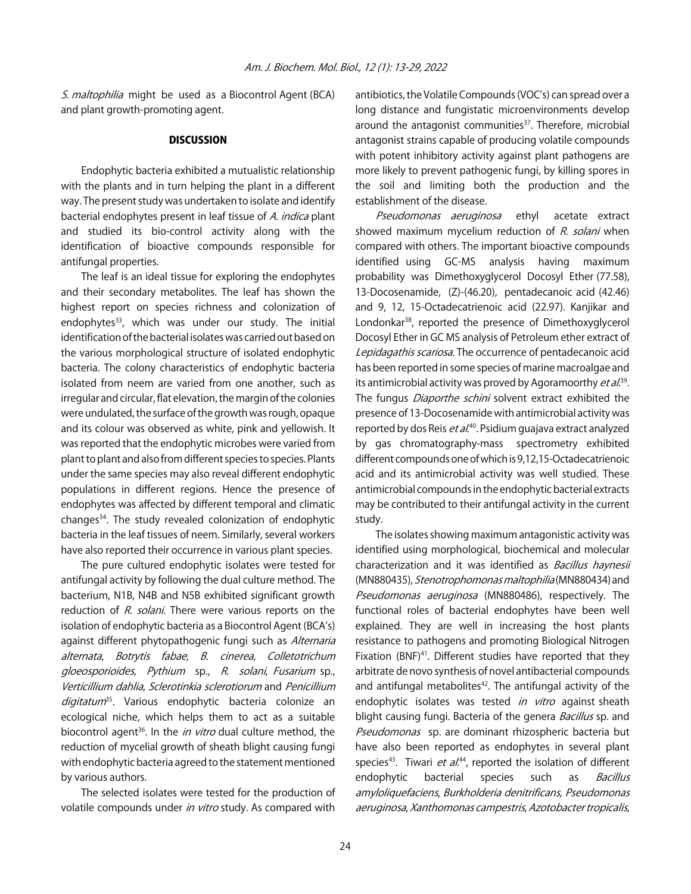S. maltophilia might be used as a Biocontrol Agent (BCA) and plant growth-promoting agent.

#### **DISCUSSION**

Endophytic bacteria exhibited a mutualistic relationship with the plants and in turn helping the plant in a different way. The present study was undertaken to isolate and identify bacterial endophytes present in leaf tissue of A. indica plant and studied its bio-control activity along with the identification of bioactive compounds responsible for antifungal properties.

The leaf is an ideal tissue for exploring the endophytes and their secondary metabolites. The leaf has shown the highest report on species richness and colonization of endophytes<sup>33</sup>, which was under our study. The initial identification of the bacterial isolates was carried out based on the various morphological structure of isolated endophytic bacteria. The colony characteristics of endophytic bacteria isolated from neem are varied from one another, such as irregular and circular, flat elevation, the margin of the colonies were undulated, the surface of the growth was rough, opaque and its colour was observed as white, pink and yellowish. It was reported that the endophytic microbes were varied from plant to plant and also from different species to species. Plants under the same species may also reveal different endophytic populations in different regions. Hence the presence of endophytes was affected by different temporal and climatic changes34. The study revealed colonization of endophytic bacteria in the leaf tissues of neem. Similarly, several workers have also reported their occurrence in various plant species.

The pure cultured endophytic isolates were tested for antifungal activity by following the dual culture method. The bacterium, N1B, N4B and N5B exhibited significant growth reduction of R. solani. There were various reports on the isolation of endophytic bacteria as a Biocontrol Agent (BCA's) against different phytopathogenic fungi such as Alternaria alternata, Botrytis fabae, B. cinerea, Colletotrichum gloeosporioides, Pythium sp., R. solani, Fusarium sp., Verticillium dahlia, Sclerotinkia sclerotiorum and Penicillium digitatum<sup>35</sup>. Various endophytic bacteria colonize an ecological niche, which helps them to act as a suitable biocontrol agent<sup>36</sup>. In the *in vitro* dual culture method, the reduction of mycelial growth of sheath blight causing fungi with endophytic bacteria agreed to the statement mentioned by various authors.

The selected isolates were tested for the production of volatile compounds under in vitro study. As compared with

antibiotics, the Volatile Compounds (VOC's) can spread over a long distance and fungistatic microenvironments develop around the antagonist communities<sup>37</sup>. Therefore, microbial antagonist strains capable of producing volatile compounds with potent inhibitory activity against plant pathogens are more likely to prevent pathogenic fungi, by killing spores in the soil and limiting both the production and the establishment of the disease.

Pseudomonas aeruginosa ethyl acetate extract showed maximum mycelium reduction of R. solani when compared with others. The important bioactive compounds identified using GC-MS analysis having maximum probability was Dimethoxyglycerol Docosyl Ether (77.58), 13-Docosenamide, (Z)-(46.20), pentadecanoic acid (42.46) and 9, 12, 15-Octadecatrienoic acid (22.97). Kanjikar and Londonkar38, reported the presence of Dimethoxyglycerol Docosyl Ether in GC MS analysis of Petroleum ether extract of Lepidagathis scariosa. The occurrence of pentadecanoic acid has been reported in some species of marine macroalgae and its antimicrobial activity was proved by Agoramoorthy *et al*.<sup>39</sup>. The fungus *Diaporthe schini* solvent extract exhibited the presence of 13-Docosenamide with antimicrobial activity was reported by dos Reis *et al*.<sup>40</sup>. Psidium guajava extract analyzed by gas chromatography-mass spectrometry exhibited different compounds one of which is 9,12,15-Octadecatrienoic acid and its antimicrobial activity was well studied. These antimicrobial compounds in the endophytic bacterialextracts may be contributed to their antifungal activity in the current study.

The isolates showing maximum antagonistic activity was identified using morphological, biochemical and molecular characterization and it was identified as Bacillus haynesii (MN880435), Stenotrophomonas maltophilia (MN880434) and Pseudomonas aeruginosa (MN880486), respectively. The functional roles of bacterial endophytes have been well explained. They are well in increasing the host plants resistance to pathogens and promoting Biological Nitrogen Fixation (BNF)<sup>41</sup>. Different studies have reported that they arbitrate de novo synthesis of novel antibacterial compounds and antifungal metabolites<sup>42</sup>. The antifungal activity of the endophytic isolates was tested in vitro against sheath blight causing fungi. Bacteria of the genera *Bacillus* sp. and Pseudomonas sp. are dominant rhizospheric bacteria but have also been reported as endophytes in several plant species<sup>43</sup>. Tiwari *et al.*<sup>44</sup>, reported the isolation of different endophytic bacterial species such as Bacillus amyloliquefaciens, Burkholderia denitrificans, Pseudomonas aeruginosa, Xanthomonas campestris, Azotobacter tropicalis,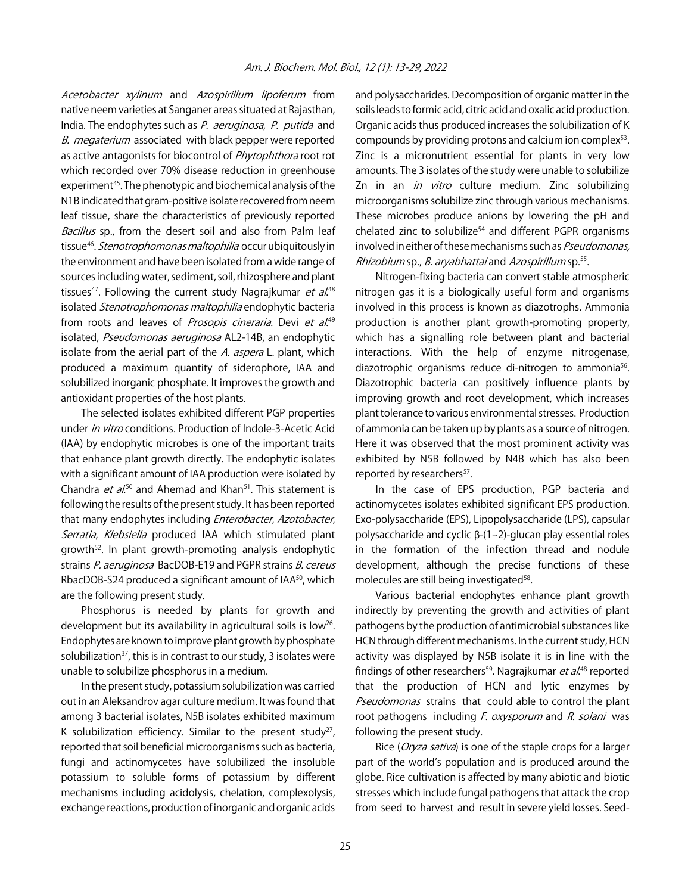Acetobacter xylinum and Azospirillum lipoferum from native neem varieties at Sanganer areas situated at Rajasthan, India. The endophytes such as P. aeruginosa, P. putida and B. megaterium associated with black pepper were reported as active antagonists for biocontrol of *Phytophthora* root rot which recorded over 70% disease reduction in greenhouse experiment<sup>45</sup>. The phenotypic and biochemical analysis of the N1B indicated that gram-positive isolate recovered from neem leaf tissue, share the characteristics of previously reported Bacillus sp., from the desert soil and also from Palm leaf tissue<sup>46</sup>. Stenotrophomonas maltophilia occur ubiquitously in the environment and have been isolated from a wide range of sources including water, sediment, soil, rhizosphere and plant tissues<sup>47</sup>. Following the current study Nagrajkumar *et al.*<sup>48</sup> isolated Stenotrophomonas maltophilia endophytic bacteria from roots and leaves of Prosopis cineraria. Devi et al.<sup>49</sup> isolated, Pseudomonas aeruginosa AL2-14B, an endophytic isolate from the aerial part of the A. aspera L. plant, which produced a maximum quantity of siderophore, IAA and solubilized inorganic phosphate. It improves the growth and antioxidant properties of the host plants.

The selected isolates exhibited different PGP properties under in vitro conditions. Production of Indole-3-Acetic Acid (IAA) by endophytic microbes is one of the important traits that enhance plant growth directly. The endophytic isolates with a significant amount of IAA production were isolated by Chandra *et al*.<sup>50</sup> and Ahemad and Khan<sup>51</sup>. This statement is following the results of the present study. It has been reported that many endophytes including Enterobacter, Azotobacter, Serratia, Klebsiella produced IAA which stimulated plant growth52. In plant growth-promoting analysis endophytic strains P. aeruginosa BacDOB-E19 and PGPR strains B. cereus RbacDOB-S24 produced a significant amount of IAA<sup>50</sup>, which are the following present study.

Phosphorus is needed by plants for growth and development but its availability in agricultural soils is low<sup>26</sup>. Endophytes are known to improve plant growth by phosphate solubilization $37$ , this is in contrast to our study, 3 isolates were unable to solubilize phosphorus in a medium.

In the present study, potassium solubilization was carried out in an Aleksandrov agar culture medium. It was found that among 3 bacterial isolates, N5B isolates exhibited maximum K solubilization efficiency. Similar to the present study<sup>27</sup>, reported that soil beneficial microorganisms such as bacteria, fungi and actinomycetes have solubilized the insoluble potassium to soluble forms of potassium by different mechanisms including acidolysis, chelation, complexolysis, exchange reactions, production of inorganic and organic acids

and polysaccharides. Decomposition of organic matter in the soils leads to formic acid, citric acid and oxalic acid production. Organic acids thus produced increases the solubilization of K compounds by providing protons and calcium ion complex53. Zinc is a micronutrient essential for plants in very low amounts. The 3 isolates of the study were unable to solubilize Zn in an in vitro culture medium. Zinc solubilizing microorganisms solubilize zinc through various mechanisms. These microbes produce anions by lowering the pH and chelated zinc to solubilize $54$  and different PGPR organisms involved in either of these mechanisms such as Pseudomonas, Rhizobium sp., B. aryabhattai and Azospirillum sp.55.

Nitrogen-fixing bacteria can convert stable atmospheric nitrogen gas it is a biologically useful form and organisms involved in this process is known as diazotrophs. Ammonia production is another plant growth-promoting property, which has a signalling role between plant and bacterial interactions. With the help of enzyme nitrogenase, diazotrophic organisms reduce di-nitrogen to ammonia<sup>56</sup>. Diazotrophic bacteria can positively influence plants by improving growth and root development, which increases plant tolerance to various environmental stresses. Production of ammonia can be taken up by plants as a source of nitrogen. Here it was observed that the most prominent activity was exhibited by N5B followed by N4B which has also been reported by researchers<sup>57</sup>.

In the case of EPS production, PGP bacteria and actinomycetes isolates exhibited significant EPS production. Exo-polysaccharide (EPS), Lipopolysaccharide (LPS), capsular polysaccharide and cyclic  $\beta$ -(1-2)-glucan play essential roles in the formation of the infection thread and nodule development, although the precise functions of these molecules are still being investigated<sup>58</sup>.

Various bacterial endophytes enhance plant growth indirectly by preventing the growth and activities of plant pathogens by the production of antimicrobial substances like HCN through different mechanisms. In the current study, HCN activity was displayed by N5B isolate it is in line with the findings of other researchers<sup>59</sup>. Nagrajkumar *et al*.<sup>48</sup> reported that the production of HCN and lytic enzymes by Pseudomonas strains that could able to control the plant root pathogens including  $F.$  oxysporum and  $R.$  solani was following the present study.

Rice (*Oryza sativa*) is one of the staple crops for a larger part of the world's population and is produced around the globe. Rice cultivation is affected by many abiotic and biotic stresses which include fungal pathogens that attack the crop from seed to harvest and result in severe yield losses. Seed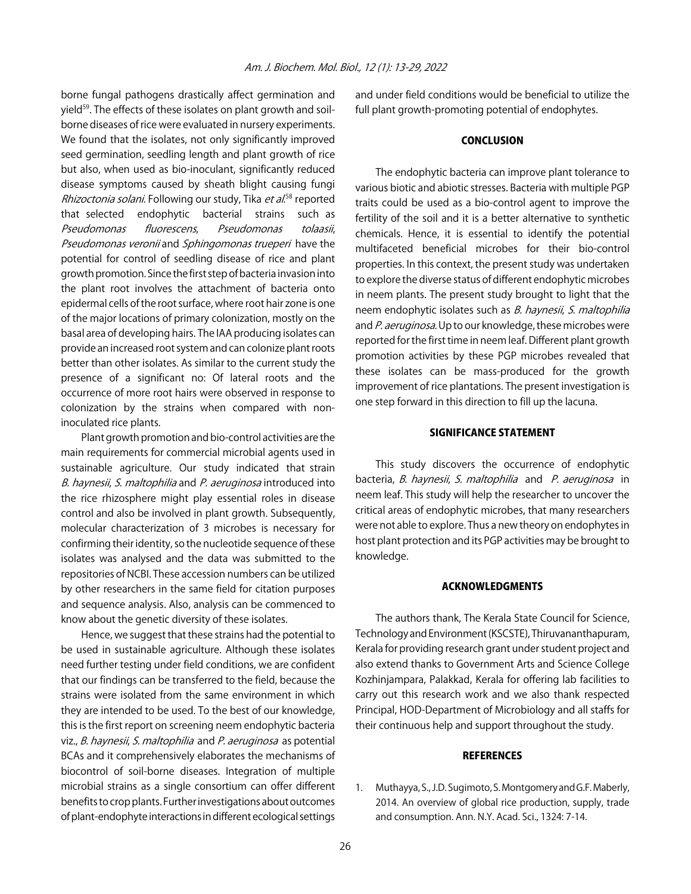borne fungal pathogens drastically affect germination and yield<sup>59</sup>. The effects of these isolates on plant growth and soilborne diseases of rice were evaluated in nursery experiments. We found that the isolates, not only significantly improved seed germination, seedling length and plant growth of rice but also, when used as bio-inoculant, significantly reduced disease symptoms caused by sheath blight causing fungi *Rhizoctonia solani.* Following our study, Tika *et al.*<sup>58</sup> reported that selected endophytic bacterial strains such as Pseudomonas fluorescens, Pseudomonas tolaasii, Pseudomonas veronii and Sphingomonas trueperi have the potential for control of seedling disease of rice and plant growth promotion. Since the first step of bacteria invasion into the plant root involves the attachment of bacteria onto epidermal cells of the root surface, where root hair zone is one of the major locations of primary colonization, mostly on the basal area of developing hairs. The IAA producing isolates can provide an increased root system and can colonize plant roots better than other isolates. As similar to the current study the presence of a significant no: Of lateral roots and the occurrence of more root hairs were observed in response to colonization by the strains when compared with noninoculated rice plants.

Plant growth promotion and bio-control activities are the main requirements for commercial microbial agents used in sustainable agriculture. Our study indicated that strain B. haynesii, S. maltophilia and P. aeruginosa introduced into the rice rhizosphere might play essential roles in disease control and also be involved in plant growth. Subsequently, molecular characterization of 3 microbes is necessary for confirming their identity, so the nucleotide sequence of these isolates was analysed and the data was submitted to the repositories of NCBI. These accession numbers can be utilized by other researchers in the same field for citation purposes and sequence analysis. Also, analysis can be commenced to know about the genetic diversity of these isolates.

Hence, we suggest that these strains had the potential to be used in sustainable agriculture. Although these isolates need further testing under field conditions, we are confident that our findings can be transferred to the field, because the strains were isolated from the same environment in which they are intended to be used. To the best of our knowledge, this is the first report on screening neem endophytic bacteria viz., B. haynesii, S. maltophilia and P. aeruginosa as potential BCAs and it comprehensively elaborates the mechanisms of biocontrol of soil-borne diseases. Integration of multiple microbial strains as a single consortium can offer different benefits to crop plants. Further investigations about outcomes of plant-endophyte interactions in different ecological settings

and under field conditions would be beneficial to utilize the full plant growth-promoting potential of endophytes.

#### **CONCLUSION**

The endophytic bacteria can improve plant tolerance to various biotic and abiotic stresses. Bacteria with multiple PGP traits could be used as a bio-control agent to improve the fertility of the soil and it is a better alternative to synthetic chemicals. Hence, it is essential to identify the potential multifaceted beneficial microbes for their bio-control properties. In this context, the present study was undertaken to explore the diverse status of different endophytic microbes in neem plants. The present study brought to light that the neem endophytic isolates such as *B. haynesii*, *S. maltophilia* and P. aeruginosa. Up to our knowledge, these microbes were reported for the first time in neem leaf. Different plant growth promotion activities by these PGP microbes revealed that these isolates can be mass-produced for the growth improvement of rice plantations. The present investigation is one step forward in this direction to fill up the lacuna.

#### SIGNIFICANCE STATEMENT

This study discovers the occurrence of endophytic bacteria, *B. haynesii, S. maltophilia* and *P. aeruginosa* in neem leaf. This study will help the researcher to uncover the critical areas of endophytic microbes, that many researchers were not able to explore. Thus a new theory on endophytes in host plant protection and its PGP activities may be brought to knowledge.

#### ACKNOWLEDGMENTS

The authors thank, The Kerala State Council for Science, Technology and Environment (KSCSTE), Thiruvananthapuram, Kerala for providing research grant under student project and also extend thanks to Government Arts and Science College Kozhinjampara, Palakkad, Kerala for offering lab facilities to carry out this research work and we also thank respected Principal, HOD-Department of Microbiology and all staffs for their continuous help and support throughout the study.

#### **REFERENCES**

1. Muthayya, S., J.D. Sugimoto, S. Montgomery and G.F. Maberly, 2014. An overview of global rice production, supply, trade and consumption. Ann. N.Y. Acad. Sci., 1324: 7-14.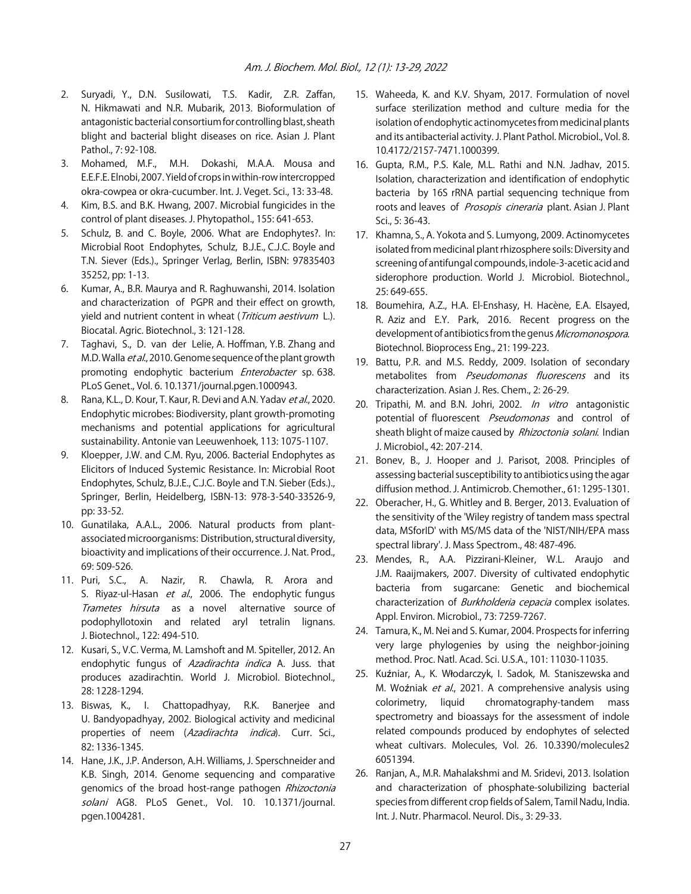- 2. Suryadi, Y., D.N. Susilowati, T.S. Kadir, Z.R. Zaffan, N. Hikmawati and N.R. Mubarik, 2013. Bioformulation of antagonistic bacterial consortium for controlling blast, sheath blight and bacterial blight diseases on rice. Asian J. Plant Pathol., 7: 92-108.
- 3. Mohamed, M.F., M.H. Dokashi, M.A.A. Mousa and E.E.F.E. Elnobi, 2007. Yield of crops in within-row intercropped okra-cowpea or okra-cucumber. Int. J. Veget. Sci., 13: 33-48.
- 4. Kim, B.S. and B.K. Hwang, 2007. Microbial fungicides in the control of plant diseases. J. Phytopathol., 155: 641-653.
- 5. Schulz, B. and C. Boyle, 2006. What are Endophytes?. In: Microbial Root Endophytes, Schulz, B.J.E., C.J.C. Boyle and T.N. Siever (Eds.)., Springer Verlag, Berlin, ISBN: 97835403 35252, pp: 1-13.
- 6. Kumar, A., B.R. Maurya and R. Raghuwanshi, 2014. Isolation and characterization of PGPR and their effect on growth, yield and nutrient content in wheat (*Triticum aestivum L.*). Biocatal. Agric. Biotechnol., 3: 121-128.
- 7. Taghavi, S., D. van der Lelie, A. Hoffman, Y.B. Zhang and M.D. Walla et al., 2010. Genome sequence of the plant growth promoting endophytic bacterium *Enterobacter* sp. 638. PLoS Genet., Vol. 6. 10.1371/journal.pgen.1000943.
- 8. Rana, K.L., D. Kour, T. Kaur, R. Devi and A.N. Yadav et al., 2020. Endophytic microbes: Biodiversity, plant growth-promoting mechanisms and potential applications for agricultural sustainability. Antonie van Leeuwenhoek, 113: 1075-1107.
- 9. Kloepper, J.W. and C.M. Ryu, 2006. Bacterial Endophytes as Elicitors of Induced Systemic Resistance. In: Microbial Root Endophytes, Schulz, B.J.E., C.J.C. Boyle and T.N. Sieber (Eds.)., Springer, Berlin, Heidelberg, ISBN-13: 978-3-540-33526-9, pp: 33-52.
- 10. Gunatilaka, A.A.L., 2006. Natural products from plantassociated microorganisms: Distribution, structural diversity, bioactivity and implications of their occurrence. J. Nat. Prod., 69: 509-526.
- 11. Puri, S.C., A. Nazir, R. Chawla, R. Arora and S. Riyaz-ul-Hasan et al., 2006. The endophytic fungus Trametes hirsuta as a novel alternative source of podophyllotoxin and related aryl tetralin lignans. J. Biotechnol., 122: 494-510.
- 12. Kusari, S., V.C. Verma, M. Lamshoft and M. Spiteller, 2012. An endophytic fungus of Azadirachta indica A. Juss. that produces azadirachtin. World J. Microbiol. Biotechnol., 28: 1228-1294.
- 13. Biswas, K., I. Chattopadhyay, R.K. Banerjee and U. Bandyopadhyay, 2002. Biological activity and medicinal properties of neem (Azadirachta indica). Curr. Sci., 82: 1336-1345.
- 14. Hane, J.K., J.P. Anderson, A.H. Williams, J. Sperschneider and K.B. Singh, 2014. Genome sequencing and comparative genomics of the broad host-range pathogen Rhizoctonia solani AG8. PLoS Genet., Vol. 10. 10.1371/journal. pgen.1004281.
- 15. Waheeda, K. and K.V. Shyam, 2017. Formulation of novel surface sterilization method and culture media for the isolation of endophytic actinomycetes from medicinal plants and its antibacterial activity. J. Plant Pathol. Microbiol., Vol. 8. 10.4172/2157-7471.1000399.
- 16. Gupta, R.M., P.S. Kale, M.L. Rathi and N.N. Jadhav, 2015. Isolation, characterization and identification of endophytic bacteria by 16S rRNA partial sequencing technique from roots and leaves of Prosopis cineraria plant. Asian J. Plant Sci., 5: 36-43.
- 17. Khamna, S., A. Yokota and S. Lumyong, 2009. Actinomycetes isolated from medicinal plant rhizosphere soils: Diversity and screening of antifungal compounds, indole-3-acetic acid and siderophore production. World J. Microbiol. Biotechnol., 25: 649-655.
- 18. Boumehira, A.Z., H.A. El-Enshasy, H. Hacène, E.A. Elsayed, R. Aziz and E.Y. Park, 2016. Recent progress on the development of antibiotics from the genus Micromonospora. Biotechnol. Bioprocess Eng., 21: 199-223.
- 19. Battu, P.R. and M.S. Reddy, 2009. Isolation of secondary metabolites from *Pseudomonas fluorescens* and its characterization. Asian J. Res. Chem., 2: 26-29.
- 20. Tripathi, M. and B.N. Johri, 2002. *In vitro* antagonistic potential of fluorescent *Pseudomonas* and control of sheath blight of maize caused by Rhizoctonia solani. Indian J. Microbiol., 42: 207-214.
- 21. Bonev, B., J. Hooper and J. Parisot, 2008. Principles of assessing bacterial susceptibility to antibiotics using the agar diffusion method. J. Antimicrob. Chemother., 61: 1295-1301.
- 22. Oberacher, H., G. Whitley and B. Berger, 2013. Evaluation of the sensitivity of the 'Wiley registry of tandem mass spectral data, MSforID' with MS/MS data of the 'NIST/NIH/EPA mass spectral library'. J. Mass Spectrom., 48: 487-496.
- 23. Mendes, R., A.A. Pizzirani-Kleiner, W.L. Araujo and J.M. Raaijmakers, 2007. Diversity of cultivated endophytic bacteria from sugarcane: Genetic and biochemical characterization of *Burkholderia cepacia* complex isolates. Appl. Environ. Microbiol., 73: 7259-7267.
- 24. Tamura, K., M. Nei and S. Kumar, 2004. Prospects for inferring very large phylogenies by using the neighbor-joining method. Proc. Natl. Acad. Sci. U.S.A., 101: 11030-11035.
- 25. Kuźniar, A., K. Włodarczyk, I. Sadok, M. Staniszewska and M. Woźniak et al., 2021. A comprehensive analysis using colorimetry, liquid chromatography-tandem mass spectrometry and bioassays for the assessment of indole related compounds produced by endophytes of selected wheat cultivars. Molecules, Vol. 26. 10.3390/molecules2 6051394.
- 26. Ranjan, A., M.R. Mahalakshmi and M. Sridevi, 2013. Isolation and characterization of phosphate-solubilizing bacterial species from different crop fields of Salem, Tamil Nadu, India. Int. J. Nutr. Pharmacol. Neurol. Dis., 3: 29-33.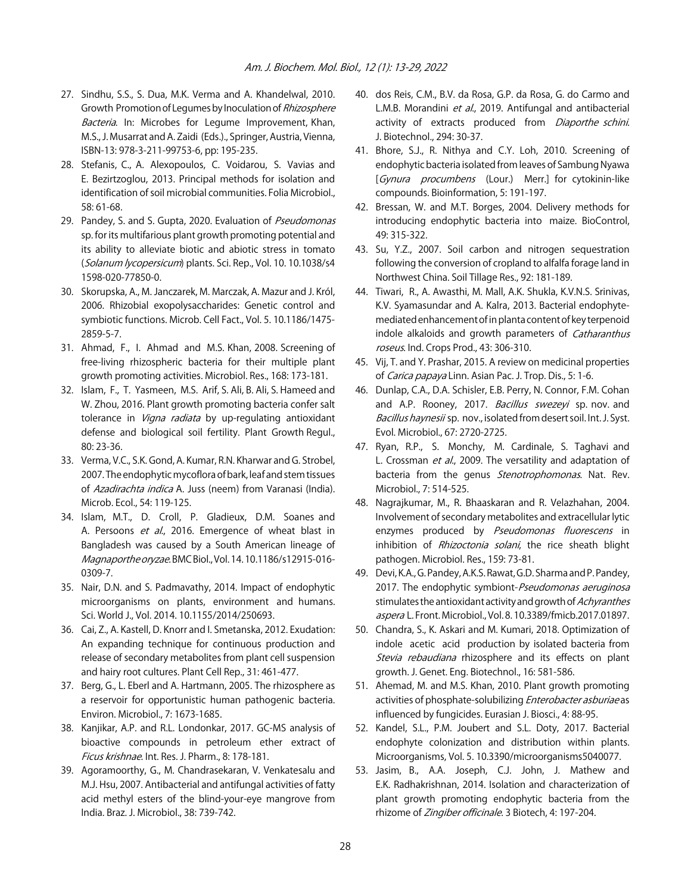- 27. Sindhu, S.S., S. Dua, M.K. Verma and A. Khandelwal, 2010. Growth Promotion of Legumes by Inoculation of Rhizosphere Bacteria. In: Microbes for Legume Improvement, Khan, M.S., J. Musarrat and A. Zaidi (Eds.)., Springer, Austria, Vienna, ISBN-13: 978-3-211-99753-6, pp: 195-235.
- 28. Stefanis, C., A. Alexopoulos, C. Voidarou, S. Vavias and E. Bezirtzoglou, 2013. Principal methods for isolation and identification of soil microbial communities. Folia Microbiol., 58: 61-68.
- 29. Pandey, S. and S. Gupta, 2020. Evaluation of Pseudomonas sp. for its multifarious plant growth promoting potential and its ability to alleviate biotic and abiotic stress in tomato (Solanum lycopersicum) plants. Sci. Rep., Vol. 10. 10.1038/s4 1598-020-77850-0.
- 30. Skorupska, A., M. Janczarek, M. Marczak, A. Mazur and J. Król, 2006. Rhizobial exopolysaccharides: Genetic control and symbiotic functions. Microb. Cell Fact., Vol. 5. 10.1186/1475- 2859-5-7.
- 31. Ahmad, F., I. Ahmad and M.S. Khan, 2008. Screening of free-living rhizospheric bacteria for their multiple plant growth promoting activities. Microbiol. Res., 168: 173-181.
- 32. Islam, F., T. Yasmeen, M.S. Arif, S. Ali, B. Ali, S. Hameed and W. Zhou, 2016. Plant growth promoting bacteria confer salt tolerance in *Vigna radiata* by up-regulating antioxidant defense and biological soil fertility. Plant Growth Regul., 80: 23-36.
- 33. Verma, V.C., S.K. Gond, A. Kumar, R.N. Kharwar and G. Strobel, 2007. The endophytic mycoflora of bark, leaf and stem tissues of Azadirachta indica A. Juss (neem) from Varanasi (India). Microb. Ecol., 54: 119-125.
- 34. Islam, M.T., D. Croll, P. Gladieux, D.M. Soanes and A. Persoons et al., 2016. Emergence of wheat blast in Bangladesh was caused by a South American lineage of Magnaporthe oryzae. BMC Biol., Vol. 14. 10.1186/s12915-016- 0309-7.
- 35. Nair, D.N. and S. Padmavathy, 2014. Impact of endophytic microorganisms on plants, environment and humans. Sci. World J., Vol. 2014. 10.1155/2014/250693.
- 36. Cai, Z., A. Kastell, D. Knorr and I. Smetanska, 2012. Exudation: An expanding technique for continuous production and release of secondary metabolites from plant cell suspension and hairy root cultures. Plant Cell Rep., 31: 461-477.
- 37. Berg, G., L. Eberl and A. Hartmann, 2005. The rhizosphere as a reservoir for opportunistic human pathogenic bacteria. Environ. Microbiol., 7: 1673-1685.
- 38. Kanjikar, A.P. and R.L. Londonkar, 2017. GC-MS analysis of bioactive compounds in petroleum ether extract of Ficus krishnae. Int. Res. J. Pharm., 8: 178-181.
- 39. Agoramoorthy, G., M. Chandrasekaran, V. Venkatesalu and M.J. Hsu, 2007. Antibacterial and antifungal activities of fatty acid methyl esters of the blind-your-eye mangrove from India. Braz. J. Microbiol., 38: 739-742.
- 40. dos Reis, C.M., B.V. da Rosa, G.P. da Rosa, G. do Carmo and L.M.B. Morandini et al., 2019. Antifungal and antibacterial activity of extracts produced from Diaporthe schini. J. Biotechnol., 294: 30-37.
- 41. Bhore, S.J., R. Nithya and C.Y. Loh, 2010. Screening of endophytic bacteria isolated from leaves of Sambung Nyawa [Gynura procumbens (Lour.) Merr.] for cytokinin-like compounds. Bioinformation, 5: 191-197.
- 42. Bressan, W. and M.T. Borges, 2004. Delivery methods for introducing endophytic bacteria into maize. BioControl, 49: 315-322.
- 43. Su, Y.Z., 2007. Soil carbon and nitrogen sequestration following the conversion of cropland to alfalfa forage land in Northwest China. Soil Tillage Res., 92: 181-189.
- 44. Tiwari, R., A. Awasthi, M. Mall, A.K. Shukla, K.V.N.S. Srinivas, K.V. Syamasundar and A. Kalra, 2013. Bacterial endophytemediated enhancement of in planta content of key terpenoid indole alkaloids and growth parameters of *Catharanthus* roseus. Ind. Crops Prod., 43: 306-310.
- 45. Vij, T. and Y. Prashar, 2015. A review on medicinal properties of Carica papaya Linn. Asian Pac. J. Trop. Dis., 5: 1-6.
- 46. Dunlap, C.A., D.A. Schisler, E.B. Perry, N. Connor, F.M. Cohan and A.P. Rooney, 2017. Bacillus swezeyi sp. nov. and Bacillus haynesii sp. nov., isolated from desert soil. Int. J. Syst. Evol. Microbiol., 67: 2720-2725.
- 47. Ryan, R.P., S. Monchy, M. Cardinale, S. Taghavi and L. Crossman et al., 2009. The versatility and adaptation of bacteria from the genus Stenotrophomonas. Nat. Rev. Microbiol., 7: 514-525.
- 48. Nagrajkumar, M., R. Bhaaskaran and R. Velazhahan, 2004. Involvement of secondary metabolites and extracellular lytic enzymes produced by Pseudomonas fluorescens in inhibition of Rhizoctonia solani, the rice sheath blight pathogen. Microbiol. Res., 159: 73-81.
- 49. Devi, K.A., G. Pandey, A.K.S. Rawat, G.D. Sharma and P. Pandey, 2017. The endophytic symbiont-Pseudomonas aeruginosa stimulates the antioxidant activity and growth of Achyranthes aspera L. Front. Microbiol., Vol. 8. 10.3389/fmicb.2017.01897.
- 50. Chandra, S., K. Askari and M. Kumari, 2018. Optimization of indole acetic acid production by isolated bacteria from Stevia rebaudiana rhizosphere and its effects on plant growth. J. Genet. Eng. Biotechnol., 16: 581-586.
- 51. Ahemad, M. and M.S. Khan, 2010. Plant growth promoting activities of phosphate-solubilizing Enterobacter asburiae as influenced by fungicides. Eurasian J. Biosci., 4: 88-95.
- 52. Kandel, S.L., P.M. Joubert and S.L. Doty, 2017. Bacterial endophyte colonization and distribution within plants. Microorganisms, Vol. 5. 10.3390/microorganisms5040077.
- 53. Jasim, B., A.A. Joseph, C.J. John, J. Mathew and E.K. Radhakrishnan, 2014. Isolation and characterization of plant growth promoting endophytic bacteria from the rhizome of Zingiber officinale. 3 Biotech, 4: 197-204.